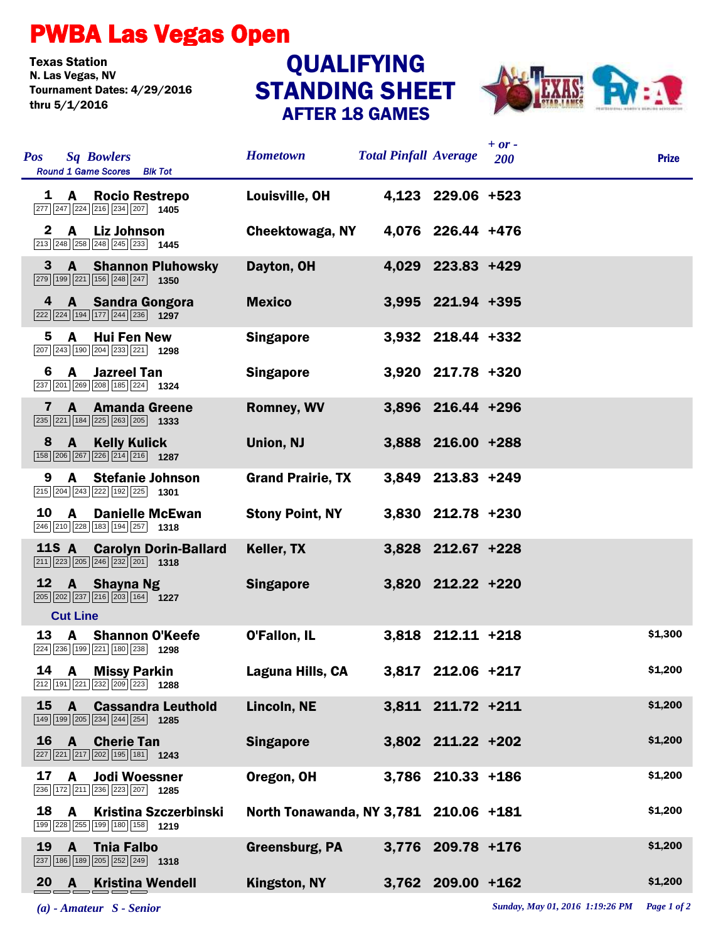## PWBA Las Vegas Open

Texas Station<br>N. Las Vegas, NV Tournament Dates: 4/29/2016 thru 5/1/2016

## STANDING SHEET AFTER 18 GAMES **QUALIFYING**



| <b>Pos</b>   |                 | <b>Sq Bowlers</b><br><b>Round 1 Game Scores</b> Blk Tot                                                                         | <b>Hometown</b>                       | <b>Total Pinfall Average</b> |                   | $+ or -$<br>200 | <b>Prize</b> |
|--------------|-----------------|---------------------------------------------------------------------------------------------------------------------------------|---------------------------------------|------------------------------|-------------------|-----------------|--------------|
| 1            | <b>A</b>        | <b>Rocio Restrepo</b><br>$\boxed{277}$ $\boxed{247}$ $\boxed{224}$ $\boxed{216}$ $\boxed{234}$ $\boxed{207}$ <b>1405</b>        | Louisville, OH                        |                              | 4,123 229.06 +523 |                 |              |
| $\mathbf{2}$ | $\mathbf{A}$    | <b>Liz Johnson</b><br>$\boxed{213}$ $\boxed{248}$ $\boxed{258}$ $\boxed{248}$ $\boxed{245}$ $\boxed{233}$ <b>1445</b>           | Cheektowaga, NY                       |                              | 4,076 226.44 +476 |                 |              |
| 3            | $\mathbf{A}$    | <b>Shannon Pluhowsky</b><br>$\boxed{279}$ 199 $\boxed{221}$ 156 $\boxed{248}$ $\boxed{247}$ 1350                                | Dayton, OH                            |                              | 4,029 223.83 +429 |                 |              |
| 4            |                 | A Sandra Gongora<br>$\boxed{222}\boxed{224}\boxed{194}\boxed{177}\boxed{244}\boxed{236}$ 1297                                   | <b>Mexico</b>                         |                              | 3,995 221.94 +395 |                 |              |
| 5.           | A               | <b>Hui Fen New</b><br>$\boxed{207}$ $\boxed{243}$ $\boxed{190}$ $\boxed{204}$ $\boxed{233}$ $\boxed{221}$ <b>1298</b>           | <b>Singapore</b>                      |                              | 3,932 218.44 +332 |                 |              |
| 6            | $\mathsf{A}$    | <b>Jazreel Tan</b><br>237 201 269 208 185 224 1324                                                                              | <b>Singapore</b>                      |                              | 3,920 217.78 +320 |                 |              |
| 7            | $\mathbf{A}$    | <b>Amanda Greene</b><br>$\boxed{235}$ $\boxed{221}$ $\boxed{184}$ $\boxed{225}$ $\boxed{263}$ $\boxed{205}$ <b>1333</b>         | <b>Romney, WV</b>                     |                              | 3,896 216.44 +296 |                 |              |
| 8            | $\mathbf{A}$    | <b>Kelly Kulick</b><br>158 206 267 226 214 216 1287                                                                             | <b>Union, NJ</b>                      |                              | 3,888 216.00 +288 |                 |              |
| 9            | A               | <b>Stefanie Johnson</b><br>$\boxed{215}$ $\boxed{204}$ $\boxed{243}$ $\boxed{222}$ $\boxed{192}$ $\boxed{225}$ <b>1301</b>      | <b>Grand Prairie, TX</b>              |                              | 3,849 213.83 +249 |                 |              |
| 10           | $\mathbf{A}$    | <b>Danielle McEwan</b><br>246 210 228 183 194 257 1318                                                                          | <b>Stony Point, NY</b>                |                              | 3,830 212.78 +230 |                 |              |
|              | <b>11S A</b>    | <b>Carolyn Dorin-Ballard</b><br>$\boxed{211}$ $\boxed{223}$ $\boxed{205}$ $\boxed{246}$ $\boxed{232}$ $\boxed{201}$ <b>1318</b> | Keller, TX                            |                              | 3,828 212.67 +228 |                 |              |
| 12           | <b>Cut Line</b> | A Shayna Ng<br>205 202 237 216 203 164 1227                                                                                     | <b>Singapore</b>                      |                              | 3,820 212.22 +220 |                 |              |
| 13           | A               | <b>Shannon O'Keefe</b><br>224 236 199 221 180 238 1298                                                                          | O'Fallon, IL                          |                              | 3,818 212.11 +218 |                 | \$1,300      |
|              |                 | 14 A Missy Parkin<br>212 191 221 232 209 223 1288                                                                               | Laguna Hills, CA                      |                              | 3,817 212.06 +217 |                 | \$1,200      |
| 15           | $\mathbf{A}$    | <b>Cassandra Leuthold</b><br>149 199 205 234 244 254 1285                                                                       | Lincoln, NE                           |                              | 3,811 211.72 +211 |                 | \$1,200      |
| 16           | $\mathbf{A}$    | <b>Cherie Tan</b><br>$\boxed{227}$ $\boxed{221}$ $\boxed{217}$ $\boxed{202}$ $\boxed{195}$ $\boxed{181}$ <b>1243</b>            | <b>Singapore</b>                      |                              | 3,802 211.22 +202 |                 | \$1,200      |
| 17           | A               | <b>Jodi Woessner</b><br>236 172 211 236 223 207 1285                                                                            | Oregon, OH                            |                              | 3,786 210.33 +186 |                 | \$1,200      |
| 18           | A               | <b>Kristina Szczerbinski</b><br>199 228 255 199 180 158 1219                                                                    | North Tonawanda, NY 3,781 210.06 +181 |                              |                   |                 | \$1,200      |
| 19           | $\mathbf{A}$    | <b>Thia Falbo</b><br>$\boxed{237}$ 186 189 205 252 249 1318                                                                     | Greensburg, PA                        |                              | 3,776 209.78 +176 |                 | \$1,200      |
|              | 20 A            | <b>Kristina Wendell</b>                                                                                                         | Kingston, NY                          |                              | 3,762 209.00 +162 |                 | \$1,200      |